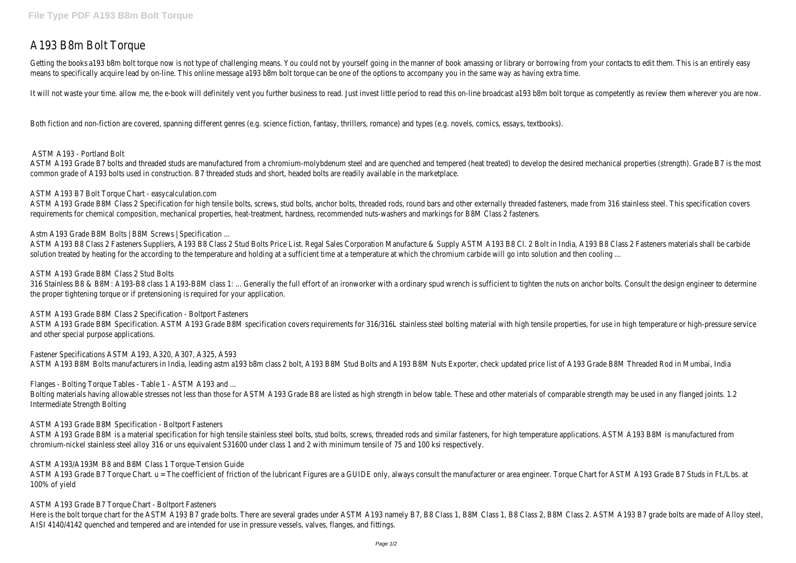# A193 B8m Bolt Torque

Getting the books a193 b8m bolt torque now is not type of challenging means. You could not by yourself going in the manner of book amassing or library or borrowing from your contacts to edit them. This is an entirely easy means to specifically acquire lead by on-line. This online message a193 b8m bolt torque can be one of the options to accompany you in the same way as having extra time.

It will not waste your time, allow me, the e-book will definitely vent you further business to read. Just invest little period to read this on-line broadcast a193 b8m bolt torque as competently as review them wherever you

ASTM A193 Grade B7 bolts and threaded studs are manufactured from a chromium-molybdenum steel and are quenched and tempered (heat treated) to develop the desired mechanical properties (strength). Grade B7 is the most common grade of A193 bolts used in construction. B7 threaded studs and short, headed bolts are readily available in the marketplace.

Both fiction and non-fiction are covered, spanning different genres (e.g. science fiction, fantasy, thrillers, romance) and types (e.g. novels, comics, essays, textbooks).

ASTM A193 Grade B8M Class 2 Specification for high tensile bolts, screws, stud bolts, anchor bolts, threaded rods, round bars and other externally threaded fasteners, made from 316 stainless steel. This specification cover requirements for chemical composition, mechanical properties, heat-treatment, hardness, recommended nuts-washers and markings for B8M Class 2 fasteners.

ASTM A193 B8 Class 2 Fasteners Suppliers, A193 B8 Class 2 Stud Bolts Price List. Regal Sales Corporation Manufacture & Supply ASTM A193 B8 Cl. 2 Bolt in India, A193 B8 Class 2 Fasteners materials shall be carbide solution treated by heating for the according to the temperature and holding at a sufficient time at a temperature at which the chromium carbide will go into solution and then cooling ...

# ASTM A193 - Portland Bolt

316 Stainless B8 & B8M: A193-B8 class 1 A193-B8M class 1: ... Generally the full effort of an ironworker with a ordinary spud wrench is sufficient to tighten the nuts on anchor bolts. Consult the design engineer to determi the proper tightening torque or if pretensioning is required for your application.

# ASTM A193 B7 Bolt Torque Chart - easycalculation.com

# Astm A193 Grade B8M Bolts | B8M Screws | Specification ...

ASTM A193 Grade B8M is a material specification for high tensile stainless steel bolts, stud bolts, screws, threaded rods and similar fasteners, for high temperature applications. ASTM A193 B8M is manufactured from chromium-nickel stainless steel alloy 316 or uns equivalent S31600 under class 1 and 2 with minimum tensile of 75 and 100 ksi respectively.

ASTM A193 Grade B7 Torque Chart. u = The coefficient of friction of the lubricant Figures are a GUIDE only, always consult the manufacturer or area engineer. Torque Chart for ASTM A193 Grade B7 Studs in Ft./Lbs. at 100% of yield

# ASTM A193 Grade B8M Class 2 Stud Bolts

Here is the bolt torque chart for the ASTM A193 B7 grade bolts. There are several grades under ASTM A193 namely B7, B8 Class 1, B8 M Class 2, B8M Class 2. ASTM A193 B7 grade bolts are made of Alloy steel, AISI 4140/4142 quenched and tempered and are intended for use in pressure vessels, valves, flanges, and fittings.

ASTM A193 Grade B8M Class 2 Specification - Boltport Fasteners

ASTM A193 Grade B8M Specification. ASTM A193 Grade B8M specification covers requirements for 316/316L stainless steel bolting material with high tensile properties, for use in high temperature or high-pressure service and other special purpose applications.

Fastener Specifications ASTM A193, A320, A307, A325, A593 ASTM A193 B8M Bolts manufacturers in India, leading astm a193 b8m class 2 bolt, A193 B8M Stud Bolts and A193 B8M Nuts Exporter, check updated price list of A193 Grade B8M Threaded Rod in Mumbai, India

# Flanges - Bolting Torque Tables - Table 1 - ASTM A193 and ...

Bolting materials having allowable stresses not less than those for ASTM A193 Grade B8 are listed as high strength in below table. These and other materials of comparable strength may be used in any flanged joints. 1.2 Intermediate Strength Bolting

# ASTM A193 Grade B8M Specification - Boltport Fasteners

ASTM A193/A193M B8 and B8M Class 1 Torque-Tension Guide

# ASTM A193 Grade B7 Torque Chart - Boltport Fasteners